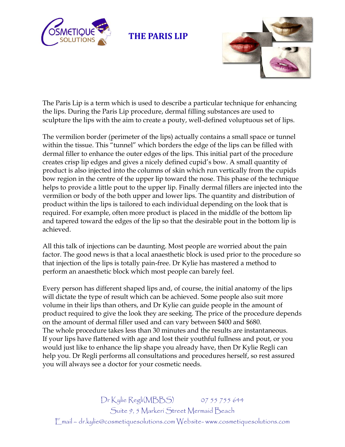

 **THE PARIS LIP**



The Paris Lip is a term which is used to describe a particular technique for enhancing the lips. During the Paris Lip procedure, dermal filling substances are used to sculpture the lips with the aim to create a pouty, well-defined voluptuous set of lips.

The vermilion border (perimeter of the lips) actually contains a small space or tunnel within the tissue. This "tunnel" which borders the edge of the lips can be filled with dermal filler to enhance the outer edges of the lips. This initial part of the procedure creates crisp lip edges and gives a nicely defined cupid's bow. A small quantity of product is also injected into the columns of skin which run vertically from the cupids bow region in the centre of the upper lip toward the nose. This phase of the technique helps to provide a little pout to the upper lip. Finally dermal fillers are injected into the vermilion or body of the both upper and lower lips. The quantity and distribution of product within the lips is tailored to each individual depending on the look that is required. For example, often more product is placed in the middle of the bottom lip and tapered toward the edges of the lip so that the desirable pout in the bottom lip is achieved.

All this talk of injections can be daunting. Most people are worried about the pain factor. The good news is that a local anaesthetic block is used prior to the procedure so that injection of the lips is totally pain-free. Dr Kylie has mastered a method to perform an anaesthetic block which most people can barely feel.

Every person has different shaped lips and, of course, the initial anatomy of the lips will dictate the type of result which can be achieved. Some people also suit more volume in their lips than others, and Dr Kylie can guide people in the amount of product required to give the look they are seeking. The price of the procedure depends on the amount of dermal filler used and can vary between \$400 and \$680. The whole procedure takes less than 30 minutes and the results are instantaneous. If your lips have flattened with age and lost their youthful fullness and pout, or you would just like to enhance the lip shape you already have, then Dr Kylie Regli can help you. Dr Regli performs all consultations and procedures herself, so rest assured you will always see a doctor for your cosmetic needs.

Dr Kylie Regli(MBBS) 07 55 755 644 Suite 9, 5 Markeri Street Mermaid Beach Email – dr.kylie@cosmetiquesolutions.com Website- www.cosmetiquesolutions.com